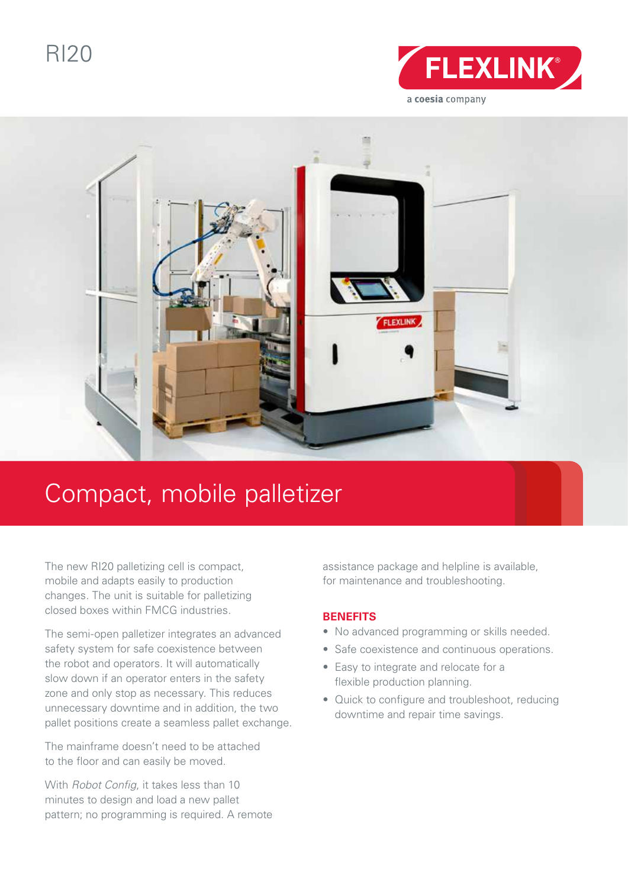RI20





# Compact, mobile palletizer

The new RI20 palletizing cell is compact, mobile and adapts easily to production changes. The unit is suitable for palletizing closed boxes within FMCG industries.

The semi-open palletizer integrates an advanced safety system for safe coexistence between the robot and operators. It will automatically slow down if an operator enters in the safety zone and only stop as necessary. This reduces unnecessary downtime and in addition, the two pallet positions create a seamless pallet exchange.

The mainframe doesn't need to be attached to the floor and can easily be moved.

With *Robot Config*, it takes less than 10 minutes to design and load a new pallet pattern; no programming is required. A remote assistance package and helpline is available, for maintenance and troubleshooting.

### **BENEFITS**

- No advanced programming or skills needed.
- Safe coexistence and continuous operations.
- Easy to integrate and relocate for a flexible production planning.
- Quick to configure and troubleshoot, reducing downtime and repair time savings.